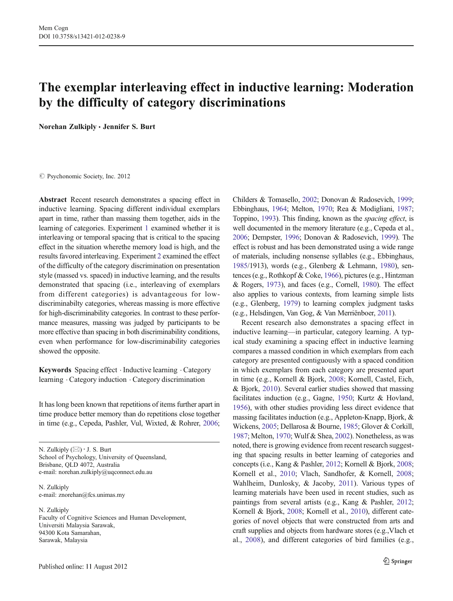# The exemplar interleaving effect in inductive learning: Moderation by the difficulty of category discriminations

Norehan Zulkiply & Jennifer S. Burt

C Psychonomic Society, Inc. 2012

Abstract Recent research demonstrates a spacing effect in inductive learning. Spacing different individual exemplars apart in time, rather than massing them together, aids in the learning of categories. Experiment [1](#page-1-0) examined whether it is interleaving or temporal spacing that is critical to the spacing effect in the situation wherethe memory load is high, and the results favored interleaving. Experiment [2](#page-4-0) examined the effect of the difficulty of the category discrimination on presentation style (massed vs. spaced) in inductive learning, and the results demonstrated that spacing (i.e., interleaving of exemplars from different categories) is advantageous for lowdiscriminabilty categories, whereas massing is more effective for high-discriminability categories. In contrast to these performance measures, massing was judged by participants to be more effective than spacing in both discriminability conditions, even when performance for low-discriminability categories showed the opposite.

Keywords Spacing effect . Inductive learning . Category learning . Category induction . Category discrimination

It has long been known that repetitions of items further apart in time produce better memory than do repetitions close together in time (e.g., Cepeda, Pashler, Vul, Wixted, & Rohrer, [2006](#page-10-0);

N. Zulkiply  $(\boxtimes) \cdot$  J. S. Burt School of Psychology, University of Queensland, Brisbane, QLD 4072, Australia e-mail: norehan.zulkiply@uqconnect.edu.au

N. Zulkinly e-mail: znorehan@fcs.unimas.my

N. Zulkiply Faculty of Cognitive Sciences and Human Development, Universiti Malaysia Sarawak, 94300 Kota Samarahan, Sarawak, Malaysia

Childers & Tomasello, [2002;](#page-10-0) Donovan & Radosevich, [1999;](#page-10-0) Ebbinghaus, [1964](#page-10-0); Melton, [1970;](#page-11-0) Rea & Modigliani, [1987;](#page-11-0) Toppino, [1993\)](#page-11-0). This finding, known as the spacing effect, is well documented in the memory literature (e.g., Cepeda et al., [2006;](#page-10-0) Dempster, [1996;](#page-10-0) Donovan & Radosevich, [1999](#page-10-0)). The effect is robust and has been demonstrated using a wide range of materials, including nonsense syllables (e.g., Ebbinghaus, [1985/](#page-10-0)1913), words (e.g., Glenberg & Lehmann, [1980](#page-10-0)), sentences (e.g., Rothkopf & Coke, [1966](#page-11-0)), pictures (e.g., Hintzman & Rogers, [1973\)](#page-10-0), and faces (e.g., Cornell, [1980](#page-10-0)). The effect also applies to various contexts, from learning simple lists (e.g., Glenberg, [1979\)](#page-10-0) to learning complex judgment tasks (e.g., Helsdingen, Van Gog, & Van Merriënboer, [2011\)](#page-10-0).

Recent research also demonstrates a spacing effect in inductive learning—in particular, category learning. A typical study examining a spacing effect in inductive learning compares a massed condition in which exemplars from each category are presented contiguously with a spaced condition in which exemplars from each category are presented apart in time (e.g., Kornell & Bjork, [2008](#page-10-0); Kornell, Castel, Eich, & Bjork, [2010](#page-10-0)). Several earlier studies showed that massing facilitates induction (e.g., Gagne, [1950](#page-10-0); Kurtz & Hovland, [1956\)](#page-10-0), with other studies providing less direct evidence that massing facilitates induction (e.g., Appleton-Knapp, Bjork, & Wickens, [2005;](#page-10-0) Dellarosa & Bourne, [1985;](#page-10-0) Glover & Corkill, [1987;](#page-10-0) Melton, [1970](#page-11-0); Wulf & Shea, [2002](#page-11-0)). Nonetheless, as was noted, there is growing evidence from recent research suggesting that spacing results in better learning of categories and concepts (i.e., Kang & Pashler, [2012](#page-10-0); Kornell & Bjork, [2008;](#page-10-0) Kornell et al., [2010](#page-10-0); Vlach, Sandhofer, & Kornell, [2008;](#page-11-0) Wahlheim, Dunlosky, & Jacoby, [2011](#page-11-0)). Various types of learning materials have been used in recent studies, such as paintings from several artists (e.g., Kang & Pashler, [2012;](#page-10-0) Kornell & Bjork, [2008](#page-10-0); Kornell et al., [2010\)](#page-10-0), different categories of novel objects that were constructed from arts and craft supplies and objects from hardware stores (e.g.,Vlach et al., [2008\)](#page-11-0), and different categories of bird families (e.g.,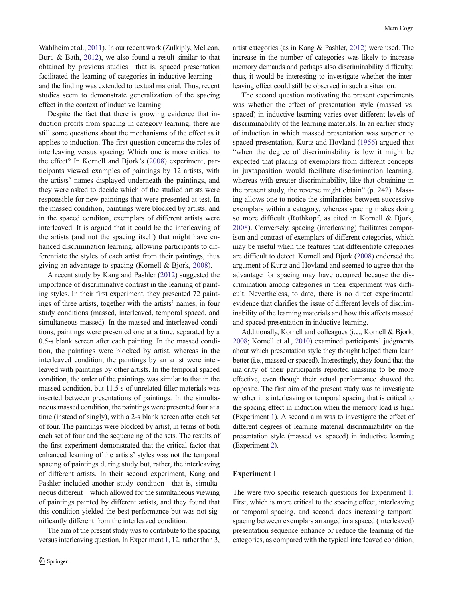<span id="page-1-0"></span>Wahlheim et al., [2011](#page-11-0)). In our recent work (Zulkiply, McLean, Burt, & Bath, [2012\)](#page-11-0), we also found a result similar to that obtained by previous studies—that is, spaced presentation facilitated the learning of categories in inductive learning and the finding was extended to textual material. Thus, recent studies seem to demonstrate generalization of the spacing effect in the context of inductive learning.

Despite the fact that there is growing evidence that induction profits from spacing in category learning, there are still some questions about the mechanisms of the effect as it applies to induction. The first question concerns the roles of interleaving versus spacing: Which one is more critical to the effect? In Kornell and Bjork's [\(2008](#page-10-0)) experiment, participants viewed examples of paintings by 12 artists, with the artists' names displayed underneath the paintings, and they were asked to decide which of the studied artists were responsible for new paintings that were presented at test. In the massed condition, paintings were blocked by artists, and in the spaced conditon, exemplars of different artists were interleaved. It is argued that it could be the interleaving of the artists (and not the spacing itself) that might have enhanced discrimination learning, allowing participants to differentiate the styles of each artist from their paintings, thus giving an advantage to spacing (Kornell & Bjork, [2008\)](#page-10-0).

A recent study by Kang and Pashler ([2012](#page-10-0)) suggested the importance of discriminative contrast in the learning of painting styles. In their first experiment, they presented 72 paintings of three artists, together with the artists' names, in four study conditions (massed, interleaved, temporal spaced, and simultaneous massed). In the massed and interleaved conditions, paintings were presented one at a time, separated by a 0.5-s blank screen after each painting. In the massed condition, the paintings were blocked by artist, whereas in the interleaved condition, the paintings by an artist were interleaved with paintings by other artists. In the temporal spaced condition, the order of the paintings was similar to that in the massed condition, but 11.5 s of unrelated filler materials was inserted between presentations of paintings. In the simultaneous massed condition, the paintings were presented four at a time (instead of singly), with a 2-s blank screen after each set of four. The paintings were blocked by artist, in terms of both each set of four and the sequencing of the sets. The results of the first experiment demonstrated that the critical factor that enhanced learning of the artists' styles was not the temporal spacing of paintings during study but, rather, the interleaving of different artists. In their second experiment, Kang and Pashler included another study condition—that is, simultaneous different—which allowed for the simultaneous viewing of paintings painted by different artists, and they found that this condition yielded the best performance but was not significantly different from the interleaved condition.

The aim of the present study was to contribute to the spacing versus interleaving question. In Experiment 1, 12, rather than 3,

artist categories (as in Kang & Pashler, [2012](#page-10-0)) were used. The increase in the number of categories was likely to increase memory demands and perhaps also discriminability difficulty; thus, it would be interesting to investigate whether the interleaving effect could still be observed in such a situation.

The second question motivating the present experiments was whether the effect of presentation style (massed vs. spaced) in inductive learning varies over different levels of discriminability of the learning materials. In an earlier study of induction in which massed presentation was superior to spaced presentation, Kurtz and Hovland [\(1956](#page-10-0)) argued that "when the degree of discriminability is low it might be expected that placing of exemplars from different concepts in juxtaposition would facilitate discrimination learning, whereas with greater discriminability, like that obtaining in the present study, the reverse might obtain" (p. 242). Massing allows one to notice the similarities between successive exemplars within a category, whereas spacing makes doing so more difficult (Rothkopf, as cited in Kornell & Bjork, [2008](#page-10-0)). Conversely, spacing (interleaving) facilitates comparison and contrast of exemplars of different categories, which may be useful when the features that differentiate categories are difficult to detect. Kornell and Bjork [\(2008\)](#page-10-0) endorsed the argument of Kurtz and Hovland and seemed to agree that the advantage for spacing may have occurred because the discrimination among categories in their experiment was difficult. Nevertheless, to date, there is no direct experimental evidence that clarifies the issue of different levels of discriminability of the learning materials and how this affects massed and spaced presentation in inductive learning.

Additionally, Kornell and colleagues (i.e., Kornell & Bjork, [2008](#page-10-0); Kornell et al., [2010\)](#page-10-0) examined participants' judgments about which presentation style they thought helped them learn better (i.e., massed or spaced). Interestingly, they found that the majority of their participants reported massing to be more effective, even though their actual performance showed the opposite. The first aim of the present study was to investigate whether it is interleaving or temporal spacing that is critical to the spacing effect in induction when the memory load is high (Experiment 1). A second aim was to investigate the effect of different degrees of learning material discriminability on the presentation style (massed vs. spaced) in inductive learning (Experiment [2\)](#page-4-0).

#### Experiment 1

The were two specific research questions for Experiment 1: First, which is more critical to the spacing effect, interleaving or temporal spacing, and second, does increasing temporal spacing between exemplars arranged in a spaced (interleaved) presentation sequence enhance or reduce the learning of the categories, as compared with the typical interleaved condition,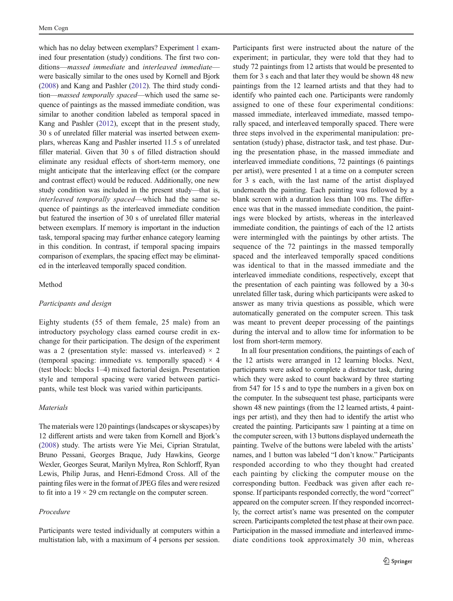which has no delay between exemplars? Experiment [1](#page-1-0) examined four presentation (study) conditions. The first two conditions—massed immediate and interleaved immediate were basically similar to the ones used by Kornell and Bjork [\(2008\)](#page-10-0) and Kang and Pashler ([2012](#page-10-0)). The third study condition—massed temporally spaced—which used the same sequence of paintings as the massed immediate condition, was similar to another condition labeled as temporal spaced in Kang and Pashler [\(2012](#page-10-0)), except that in the present study, 30 s of unrelated filler material was inserted between exemplars, whereas Kang and Pashler inserted 11.5 s of unrelated filler material. Given that 30 s of filled distraction should eliminate any residual effects of short-term memory, one might anticipate that the interleaving effect (or the compare and contrast effect) would be reduced. Additionally, one new study condition was included in the present study—that is, interleaved temporally spaced—which had the same sequence of paintings as the interleaved immediate condition but featured the insertion of 30 s of unrelated filler material between exemplars. If memory is important in the induction task, temporal spacing may further enhance category learning in this condition. In contrast, if temporal spacing impairs comparison of exemplars, the spacing effect may be eliminated in the interleaved temporally spaced condition.

# Method

#### Participants and design

Eighty students (55 of them female, 25 male) from an introductory psychology class earned course credit in exchange for their participation. The design of the experiment was a 2 (presentation style: massed vs. interleaved)  $\times$  2 (temporal spacing: immediate vs. temporally spaced)  $\times$  4 (test block: blocks 1–4) mixed factorial design. Presentation style and temporal spacing were varied between participants, while test block was varied within participants.

# Materials

The materials were 120 paintings (landscapes or skyscapes) by 12 different artists and were taken from Kornell and Bjork's [\(2008](#page-10-0)) study. The artists were Yie Mei, Ciprian Stratulat, Bruno Pessani, Georges Braque, Judy Hawkins, George Wexler, Georges Seurat, Marilyn Mylrea, Ron Schlorff, Ryan Lewis, Philip Juras, and Henri-Edmond Cross. All of the painting files were in the format of JPEG files and were resized to fit into a  $19 \times 29$  cm rectangle on the computer screen.

# Procedure

Participants were tested individually at computers within a multistation lab, with a maximum of 4 persons per session.

Participants first were instructed about the nature of the experiment; in particular, they were told that they had to study 72 paintings from 12 artists that would be presented to them for 3 s each and that later they would be shown 48 new paintings from the 12 learned artists and that they had to identify who painted each one. Participants were randomly assigned to one of these four experimental conditions: massed immediate, interleaved immediate, massed temporally spaced, and interleaved temporally spaced. There were three steps involved in the experimental manipulation: presentation (study) phase, distractor task, and test phase. During the presentation phase, in the massed immediate and interleaved immediate conditions, 72 paintings (6 paintings per artist), were presented 1 at a time on a computer screen for 3 s each, with the last name of the artist displayed underneath the painting. Each painting was followed by a blank screen with a duration less than 100 ms. The difference was that in the massed immediate condition, the paintings were blocked by artists, whereas in the interleaved immediate condition, the paintings of each of the 12 artists were intermingled with the paintings by other artists. The sequence of the 72 paintings in the massed temporally spaced and the interleaved temporally spaced conditions was identical to that in the massed immediate and the interleaved immediate conditions, respectively, except that the presentation of each painting was followed by a 30-s unrelated filler task, during which participants were asked to answer as many trivia questions as possible, which were automatically generated on the computer screen. This task was meant to prevent deeper processing of the paintings during the interval and to allow time for information to be lost from short-term memory.

In all four presentation conditions, the paintings of each of the 12 artists were arranged in 12 learning blocks. Next, participants were asked to complete a distractor task, during which they were asked to count backward by three starting from 547 for 15 s and to type the numbers in a given box on the computer. In the subsequent test phase, participants were shown 48 new paintings (from the 12 learned artists, 4 paintings per artist), and they then had to identify the artist who created the painting. Participants saw 1 painting at a time on the computer screen, with 13 buttons displayed underneath the painting. Twelve of the buttons were labeled with the artists' names, and 1 button was labeled "I don't know." Participants responded according to who they thought had created each painting by clicking the computer mouse on the corresponding button. Feedback was given after each response. If participants responded correctly, the word "correct" appeared on the computer screen. If they responded incorrectly, the correct artist's name was presented on the computer screen. Participants completed the test phase at their own pace. Participation in the massed immediate and interleaved immediate conditions took approximately 30 min, whereas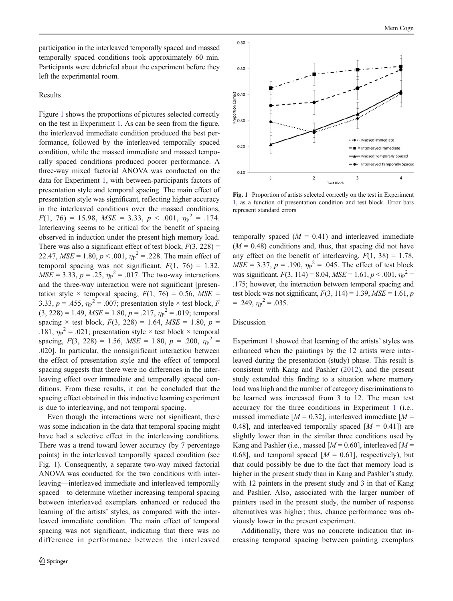participation in the interleaved temporally spaced and massed temporally spaced conditions took approximately 60 min. Participants were debriefed about the experiment before they left the experimental room.

# Results

Figure 1 shows the proportions of pictures selected correctly on the test in Experiment [1.](#page-1-0) As can be seen from the figure, the interleaved immediate condition produced the best performance, followed by the interleaved temporally spaced condition, while the massed immediate and massed temporally spaced conditions produced poorer performance. A three-way mixed factorial ANOVA was conducted on the data for Experiment [1](#page-1-0), with between-participants factors of presentation style and temporal spacing. The main effect of presentation style was significant, reflecting higher accuracy in the interleaved conditions over the massed conditions,  $F(1, 76) = 15.98, \text{ MSE} = 3.33, \text{ p} < .001, \text{ \eta}_{\text{P}}^2 = .174.$ Interleaving seems to be critical for the benefit of spacing observed in induction under the present high memory load. There was also a significant effect of test block,  $F(3, 228) =$ 22.47,  $MSE = 1.80$ ,  $p < .001$ ,  $\eta_P^2 = .228$ . The main effect of temporal spacing was not significant,  $F(1, 76) = 1.32$ ,  $MSE = 3.33, p = .25, \eta_{P}^{2} = .017$ . The two-way interactions and the three-way interaction were not significant [presentation style  $\times$  temporal spacing,  $F(1, 76) = 0.56$ ,  $MSE =$ 3.33,  $p = .455$ ,  $\eta_{\text{P}}^2 = .007$ ; presentation style × test block, F  $(3, 228) = 1.49$ ,  $MSE = 1.80$ ,  $p = .217$ ,  $\eta_{P}^{2} = .019$ ; temporal spacing  $\times$  test block,  $F(3, 228) = 1.64$ ,  $MSE = 1.80$ ,  $p =$ .181,  $\eta_{\rm P}^2$  = .021; presentation style × test block × temporal spacing,  $F(3, 228) = 1.56$ ,  $MSE = 1.80$ ,  $p = .200$ ,  $\eta_P^2 =$ .020]. In particular, the nonsignificant interaction between the effect of presentation style and the effect of temporal spacing suggests that there were no differences in the interleaving effect over immediate and temporally spaced conditions. From these results, it can be concluded that the spacing effect obtained in this inductive learning experiment is due to interleaving, and not temporal spacing.

Even though the interactions were not significant, there was some indication in the data that temporal spacing might have had a selective effect in the interleaving conditions. There was a trend toward lower accuracy (by 7 percentage points) in the interleaved temporally spaced condition (see Fig. 1). Consequently, a separate two-way mixed factorial ANOVA was conducted for the two conditions with interleaving—interleaved immediate and interleaved temporally spaced—to determine whether increasing temporal spacing between interleaved exemplars enhanced or reduced the learning of the artists' styles, as compared with the interleaved immediate condition. The main effect of temporal spacing was not significant, indicating that there was no difference in performance between the interleaved



Fig. 1 Proportion of artists selected correctly on the test in Experiment [1](#page-1-0), as a function of presentation condition and test block. Error bars represent standard errors

temporally spaced  $(M = 0.41)$  and interleaved immediate  $(M = 0.48)$  conditions and, thus, that spacing did not have any effect on the benefit of interleaving,  $F(1, 38) = 1.78$ ,  $MSE = 3.37, p = .190, \eta_{P}^{2} = .045$ . The effect of test block was significant,  $F(3, 114) = 8.04$ ,  $MSE = 1.61$ ,  $p < .001$ ,  $\eta_P^2 =$ .175; however, the interaction between temporal spacing and test block was not significant,  $F(3, 114) = 1.39$ ,  $MSE = 1.61$ , p  $= .249, \eta_{\rm P}^2 = .035.$ 

# Discussion

Experiment [1](#page-1-0) showed that learning of the artists' styles was enhanced when the paintings by the 12 artists were interleaved during the presentation (study) phase. This result is consistent with Kang and Pashler ([2012\)](#page-10-0), and the present study extended this finding to a situation where memory load was high and the number of category discriminations to be learned was increased from 3 to 12. The mean test accuracy for the three conditions in Experiment [1](#page-1-0) (i.e., massed immediate  $[M = 0.32]$ , interleaved immediate  $[M = 0.32]$ 0.48], and interleaved temporally spaced  $[M = 0.41]$  are slightly lower than in the similar three conditions used by Kang and Pashler (i.e., massed  $[M = 0.60]$ , interleaved  $[M = 0.60]$ 0.68], and temporal spaced  $[M = 0.61]$ , respectively), but that could possibly be due to the fact that memory load is higher in the present study than in Kang and Pashler's study, with 12 painters in the present study and 3 in that of Kang and Pashler. Also, associated with the larger number of painters used in the present study, the number of response alternatives was higher; thus, chance performance was obviously lower in the present experiment.

Additionally, there was no concrete indication that increasing temporal spacing between painting exemplars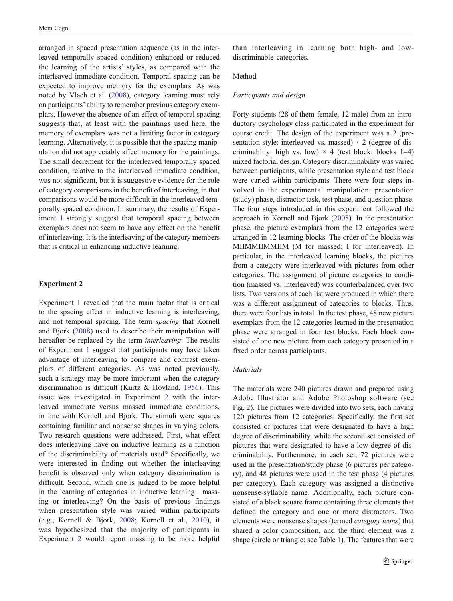<span id="page-4-0"></span>arranged in spaced presentation sequence (as in the interleaved temporally spaced condition) enhanced or reduced the learning of the artists' styles, as compared with the interleaved immediate condition. Temporal spacing can be expected to improve memory for the exemplars. As was noted by Vlach et al. ([2008\)](#page-11-0), category learning must rely on participants' ability to remember previous category exemplars. However the absence of an effect of temporal spacing suggests that, at least with the paintings used here, the memory of exemplars was not a limiting factor in category learning. Alternatively, it is possible that the spacing manipulation did not appreciably affect memory for the paintings. The small decrement for the interleaved temporally spaced condition, relative to the interleaved immediate condition, was not significant, but it is suggestive evidence for the role of category comparisons in the benefit of interleaving, in that comparisons would be more difficult in the interleaved temporally spaced condition. In summary, the results of Experiment [1](#page-1-0) strongly suggest that temporal spacing between exemplars does not seem to have any effect on the benefit of interleaving. It is the interleaving of the category members that is critical in enhancing inductive learning.

#### Experiment 2

Experiment [1](#page-1-0) revealed that the main factor that is critical to the spacing effect in inductive learning is interleaving, and not temporal spacing. The term spacing that Kornell and Bjork ([2008\)](#page-10-0) used to describe their manipulation will hereafter be replaced by the term interleaving. The results of Experiment [1](#page-1-0) suggest that participants may have taken advantage of interleaving to compare and contrast exemplars of different categories. As was noted previously, such a strategy may be more important when the category discrimination is difficult (Kurtz & Hovland, [1956\)](#page-10-0). This issue was investigated in Experiment 2 with the interleaved immediate versus massed immediate conditions, in line with Kornell and Bjork. The stimuli were squares containing familiar and nonsense shapes in varying colors. Two research questions were addressed. First, what effect does interleaving have on inductive learning as a function of the discriminability of materials used? Specifically, we were interested in finding out whether the interleaving benefit is observed only when category discrimination is difficult. Second, which one is judged to be more helpful in the learning of categories in inductive learning—massing or interleaving? On the basis of previous findings when presentation style was varied within participants (e.g., Kornell & Bjork, [2008](#page-10-0); Kornell et al., [2010](#page-10-0)), it was hypothesized that the majority of participants in Experiment 2 would report massing to be more helpful

than interleaving in learning both high- and lowdiscriminable categories.

#### Method

#### Participants and design

Forty students (28 of them female, 12 male) from an introductory psychology class participated in the experiment for course credit. The design of the experiment was a 2 (presentation style: interleaved vs. massed)  $\times$  2 (degree of discriminablity: high vs. low)  $\times$  4 (test block: blocks 1–4) mixed factorial design. Category discriminability was varied between participants, while presentation style and test block were varied within participants. There were four steps involved in the experimental manipulation: presentation (study) phase, distractor task, test phase, and question phase. The four steps introduced in this experiment followed the approach in Kornell and Bjork ([2008\)](#page-10-0). In the presentation phase, the picture exemplars from the 12 categories were arranged in 12 learning blocks. The order of the blocks was MIIMMIIMMIIM (M for massed; I for interleaved). In particular, in the interleaved learning blocks, the pictures from a category were interleaved with pictures from other categories. The assignment of picture categories to condition (massed vs. interleaved) was counterbalanced over two lists. Two versions of each list were produced in which there was a different assignment of categories to blocks. Thus, there were four lists in total. In the test phase, 48 new picture exemplars from the 12 categories learned in the presentation phase were arranged in four test blocks. Each block consisted of one new picture from each category presented in a fixed order across participants.

# **Materials**

The materials were 240 pictures drawn and prepared using Adobe Illustrator and Adobe Photoshop software (see Fig. [2](#page-5-0)). The pictures were divided into two sets, each having 120 pictures from 12 categories. Specifically, the first set consisted of pictures that were designated to have a high degree of discriminability, while the second set consisted of pictures that were designated to have a low degree of discriminability. Furthermore, in each set, 72 pictures were used in the presentation/study phase (6 pictures per category), and 48 pictures were used in the test phase (4 pictures per category). Each category was assigned a distinctive nonsense-syllable name. Additionally, each picture consisted of a black square frame containing three elements that defined the category and one or more distractors. Two elements were nonsense shapes (termed category icons) that shared a color composition, and the third element was a shape (circle or triangle; see Table [1](#page-6-0)). The features that were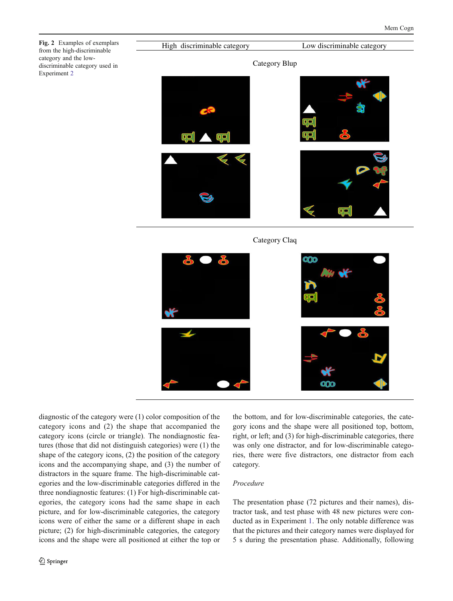<span id="page-5-0"></span>Fig. 2 Examples of exemplars from the high-discriminable category and the lowdiscriminable category used in Experiment [2](#page-4-0)

High discriminable category Low discriminable category Category Blup

Category Claq



diagnostic of the category were (1) color composition of the category icons and (2) the shape that accompanied the category icons (circle or triangle). The nondiagnostic features (those that did not distinguish categories) were (1) the shape of the category icons, (2) the position of the category icons and the accompanying shape, and (3) the number of distractors in the square frame. The high-discriminable categories and the low-discriminable categories differed in the three nondiagnostic features: (1) For high-discriminable categories, the category icons had the same shape in each picture, and for low-discriminable categories, the category icons were of either the same or a different shape in each picture; (2) for high-discriminable categories, the category icons and the shape were all positioned at either the top or

the bottom, and for low-discriminable categories, the category icons and the shape were all positioned top, bottom, right, or left; and (3) for high-discriminable categories, there was only one distractor, and for low-discriminable categories, there were five distractors, one distractor from each category.

# Procedure

The presentation phase (72 pictures and their names), distractor task, and test phase with 48 new pictures were conducted as in Experiment [1.](#page-1-0) The only notable difference was that the pictures and their category names were displayed for 5 s during the presentation phase. Additionally, following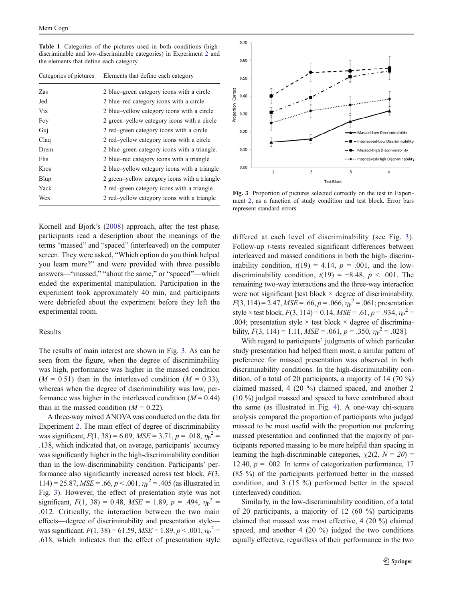<span id="page-6-0"></span>Table 1 Categories of the pictures used in both conditions (highdiscriminable and low-discriminable categories) in Experiment [2](#page-4-0) and the elements that define each category

| Categories of pictures | Elements that define each category            |
|------------------------|-----------------------------------------------|
| Zas                    | 2 blue–green category icons with a circle     |
| Jed                    | 2 blue–red category icons with a circle       |
| Vix                    | 2 blue–yellow category icons with a circle    |
| Foy                    | 2 green-yellow category icons with a circle   |
| Guj                    | 2 red-green category icons with a circle      |
| Claq                   | 2 red-yellow category icons with a circle     |
| Drem                   | 2 blue–green category icons with a triangle.  |
| Flis                   | 2 blue–red category icons with a triangle     |
| Kros                   | 2 blue–yellow category icons with a triangle  |
| Blup                   | 2 green-yellow category icons with a triangle |
| Yack                   | 2 red-green category icons with a triangle    |
| Wex                    | 2 red-yellow category icons with a triangle   |

Kornell and Bjork's [\(2008](#page-10-0)) approach, after the test phase, participants read a description about the meanings of the terms "massed" and "spaced" (interleaved) on the computer screen. They were asked, "Which option do you think helped you learn more?" and were provided with three possible answers—"massed," "about the same," or "spaced"—which ended the experimental manipulation. Participation in the experiment took approximately 40 min, and participants were debriefed about the experiment before they left the experimental room.

# Results

The results of main interest are shown in Fig. 3. As can be seen from the figure, when the degree of discriminability was high, performance was higher in the massed condition  $(M = 0.51)$  than in the interleaved condition  $(M = 0.33)$ , whereas when the degree of discriminability was low, performance was higher in the interleaved condition  $(M = 0.44)$ than in the massed condition  $(M = 0.22)$ .

A three-way mixed ANOVA was conducted on the data for Experiment [2](#page-4-0). The main effect of degree of discriminability was significant,  $F(1, 38) = 6.09$ ,  $MSE = 3.71$ ,  $p = .018$ ,  $\eta_P^2 =$ .138, which indicated that, on average, participants' accuracy was significantly higher in the high-discriminability condition than in the low-discriminability condition. Participants' performance also significantly increased across test block,  $F(3, 1)$  $114$ ) = 25.87,  $MSE = .66$ ,  $p < .001$ ,  $\eta_P^2 = .405$  (as illustrated in Fig. 3). However, the effect of presentation style was not significant,  $F(1, 38) = 0.48$ ,  $MSE = 1.89$ ,  $p = .494$ ,  $\eta_p^2 =$ .012. Critically, the interaction between the two main effects—degree of discriminability and presentation style was significant,  $F(1, 38) = 61.59$ ,  $MSE = 1.89$ ,  $p < .001$ ,  $\eta_P^2 =$ .618, which indicates that the effect of presentation style



Fig. 3 Proportion of pictures selected correctly on the test in Experiment [2,](#page-4-0) as a function of study condition and test block. Error bars represent standard errors

differed at each level of discriminability (see Fig. 3). Follow-up t-tests revealed significant differences between interleaved and massed conditions in both the high- discriminability condition,  $t(19) = 4.14$ ,  $p = .001$ , and the lowdiscriminability condition,  $t(19) = -8.48$ ,  $p < .001$ . The remaining two-way interactions and the three-way interaction were not significant [test block  $\times$  degree of discriminability,  $F(3, 114) = 2.47, MSE = .66, p = .066, \eta_P^2 = .061$ ; presentation style × test block,  $F(3, 114) = 0.14$ ,  $MSE = .61$ ,  $p = .934$ ,  $\eta_P^2 =$ .004; presentation style  $\times$  test block  $\times$  degree of discriminability,  $F(3, 114) = 1.11$ ,  $MSE = .061$ ,  $p = .350$ ,  $\eta_P^2 = .028$ .

With regard to participants' judgments of which particular study presentation had helped them most, a similar pattern of preference for massed presentation was observed in both discriminability conditions. In the high-discriminability condition, of a total of 20 participants, a majority of 14 (70 %) claimed massed, 4 (20 %) claimed spaced, and another 2 (10 %) judged massed and spaced to have contributed about the same (as illustrated in Fig. [4](#page-7-0)). A one-way chi-square analysis compared the proportion of participants who judged massed to be most useful with the proportion not preferring massed presentation and confirmed that the majority of participants reported massing to be more helpful than spacing in learning the high-discriminable categories,  $\chi^2(2, N = 20)$ 12.40,  $p = .002$ . In terms of categorization performance, 17 (85 %) of the participants performed better in the massed condition, and 3 (15 %) performed better in the spaced (interleaved) condition.

Similarly, in the low-discriminability condition, of a total of 20 participants, a majority of 12 (60 %) participants claimed that massed was most effective, 4 (20 %) claimed spaced, and another 4 (20 %) judged the two conditions equally effective, regardless of their performance in the two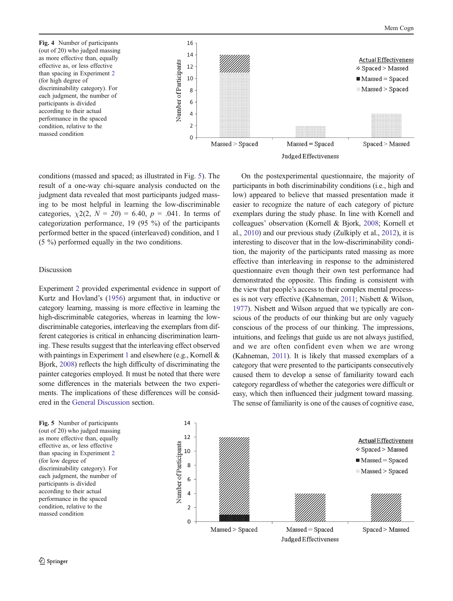<span id="page-7-0"></span>Fig. 4 Number of participants (out of 20) who judged massing as more effective than, equally effective as, or less effective than spacing in Experiment [2](#page-4-0) (for high degree of discriminability category). For each judgment, the number of participants is divided according to their actual performance in the spaced condition, relative to the massed condition



conditions (massed and spaced; as illustrated in Fig. 5). The result of a one-way chi-square analysis conducted on the judgment data revealed that most participants judged massing to be most helpful in learning the low-discriminable categories,  $\chi^2(2, N = 20) = 6.40$ ,  $p = .041$ . In terms of categorization performance, 19 (95 %) of the participants performed better in the spaced (interleaved) condition, and 1 (5 %) performed equally in the two conditions.

## Discussion

Experiment [2](#page-4-0) provided experimental evidence in support of Kurtz and Hovland's ([1956](#page-10-0)) argument that, in inductive or category learning, massing is more effective in learning the high-discriminable categories, whereas in learning the lowdiscriminable categories, interleaving the exemplars from different categories is critical in enhancing discrimination learning. These results suggest that the interleaving effect observed with paintings in Experiment [1](#page-1-0) and elsewhere (e.g., Kornell  $\&$ Bjork, [2008\)](#page-10-0) reflects the high difficulty of discriminating the painter categories employed. It must be noted that there were some differences in the materials between the two experiments. The implications of these differences will be considered in the [General Discussion](#page-8-0) section.

On the postexperimental questionnaire, the majority of participants in both discriminability conditions (i.e., high and low) appeared to believe that massed presentation made it easier to recognize the nature of each category of picture exemplars during the study phase. In line with Kornell and colleagues' observation (Kornell & Bjork, [2008;](#page-10-0) Kornell et al., [2010](#page-10-0)) and our previous study (Zulkiply et al., [2012](#page-11-0)), it is interesting to discover that in the low-discriminability condition, the majority of the participants rated massing as more effective than interleaving in response to the administered questionnaire even though their own test performance had demonstrated the opposite. This finding is consistent with the view that people's access to their complex mental processes is not very effective (Kahneman, [2011](#page-10-0); Nisbett & Wilson, [1977\)](#page-11-0). Nisbett and Wilson argued that we typically are conscious of the products of our thinking but are only vaguely conscious of the process of our thinking. The impressions, intuitions, and feelings that guide us are not always justified, and we are often confident even when we are wrong (Kahneman, [2011](#page-10-0)). It is likely that massed exemplars of a category that were presented to the participants consecutively caused them to develop a sense of familiarity toward each category regardless of whether the categories were difficult or easy, which then influenced their judgment toward massing. The sense of familiarity is one of the causes of cognitive ease,

Fig. 5 Number of participants (out of 20) who judged massing as more effective than, equally effective as, or less effective than spacing in Experiment [2](#page-4-0) (for low degree of discriminability category). For each judgment, the number of participants is divided according to their actual performance in the spaced condition, relative to the massed condition

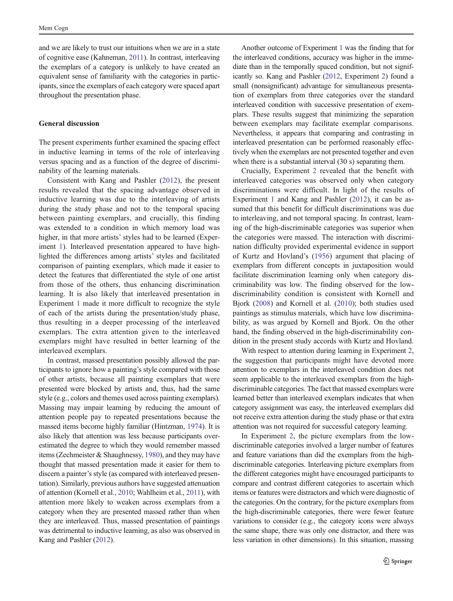<span id="page-8-0"></span>and we are likely to trust our intuitions when we are in a state of cognitive ease (Kahneman, [2011\)](#page-10-0). In contrast, interleaving the exemplars of a category is unlikely to have created an equivalent sense of familiarity with the categories in participants, since the exemplars of each category were spaced apart throughout the presentation phase.

### General discussion

The present experiments further examined the spacing effect in inductive learning in terms of the role of interleaving versus spacing and as a function of the degree of discriminability of the learning materials.

Consistent with Kang and Pashler [\(2012](#page-10-0)), the present results revealed that the spacing advantage observed in inductive learning was due to the interleaving of artists during the study phase and not to the temporal spacing between painting exemplars, and crucially, this finding was extended to a condition in which memory load was higher, in that more artists' styles had to be learned (Experiment [1\)](#page-1-0). Interleaved presentation appeared to have highlighted the differences among artists' styles and facilitated comparison of painting exemplars, which made it easier to detect the features that differentiated the style of one artist from those of the others, thus enhancing discrimination learning. It is also likely that interleaved presentation in Experiment [1](#page-1-0) made it more difficult to recognize the style of each of the artists during the presentation/study phase, thus resulting in a deeper processing of the interleaved exemplars. The extra attention given to the interleaved exemplars might have resulted in better learning of the interleaved exemplars.

In contrast, massed presentation possibly allowed the participants to ignore how a painting's style compared with those of other artists, because all painting exemplars that were presented were blocked by artists and, thus, had the same style (e.g., colors and themes used across painting exemplars). Massing may impair learning by reducing the amount of attention people pay to repeated presentations because the massed items become highly familiar (Hintzman, [1974\)](#page-10-0). It is also likely that attention was less because participants overestimated the degree to which they would remember massed items (Zechmeister & Shaughnessy, [1980\)](#page-11-0), and they may have thought that massed presentation made it easier for them to discern a painter's style (as compared with interleaved presentation). Similarly, previous authors have suggested attenuation of attention (Kornell et al., [2010;](#page-10-0) Wahlheim et al., [2011](#page-11-0)), with attention more likely to weaken across exemplars from a category when they are presented massed rather than when they are interleaved. Thus, massed presentation of paintings was detrimental to inductive learning, as also was observed in Kang and Pashler ([2012](#page-10-0)).

the interleaved conditions, accuracy was higher in the immediate than in the temporally spaced condition, but not significantly so. Kang and Pashler ([2012](#page-10-0), Experiment [2\)](#page-4-0) found a small (nonsignificant) advantage for simultaneous presentation of exemplars from three categories over the standard interleaved condition with successive presentation of exemplars. These results suggest that minimizing the separation between exemplars may facilitate exemplar comparisons. Nevertheless, it appears that comparing and contrasting in interleaved presentation can be performed reasonably effectively when the exemplars are not presented together and even when there is a substantial interval  $(30 s)$  separating them.

Another outcome of Experiment [1](#page-1-0) was the finding that for

Crucially, Experiment [2](#page-4-0) revealed that the benefit with interleaved categories was observed only when category discriminations were difficult. In light of the results of Experiment [1](#page-1-0) and Kang and Pashler [\(2012](#page-10-0)), it can be assumed that this benefit for difficult discriminations was due to interleaving, and not temporal spacing. In contrast, learning of the high-discriminable categories was superior when the categories were massed. The interaction with discrimination difficulty provided experimental evidence in support of Kurtz and Hovland's [\(1956](#page-10-0)) argument that placing of exemplars from different concepts in juxtaposition would facilitate discrimination learning only when category discriminability was low. The finding observed for the lowdiscriminability condition is consistent with Kornell and Bjork ([2008\)](#page-10-0) and Kornell et al. [\(2010](#page-10-0)); both studies used paintings as stimulus materials, which have low discriminability, as was argued by Kornell and Bjork. On the other hand, the finding observed in the high-discriminability condition in the present study accords with Kurtz and Hovland.

With respect to attention during learning in Experiment [2,](#page-4-0) the suggestion that participants might have devoted more attention to exemplars in the interleaved condition does not seem applicable to the interleaved exemplars from the highdiscriminable categories. The fact that massed exemplars were learned better than interleaved exemplars indicates that when category assignment was easy, the interleaved exemplars did not receive extra attention during the study phase or that extra attention was not required for successful category learning.

In Experiment [2,](#page-4-0) the picture exemplars from the lowdiscriminable categories involved a larger number of features and feature variations than did the exemplars from the highdiscriminable categories. Interleaving picture exemplars from the different categories might have encouraged participants to compare and contrast different categories to ascertain which items or features were distractors and which were diagnostic of the categories. On the contrary, for the picture exemplars from the high-discriminable categories, there were fewer feature variations to consider (e.g., the category icons were always the same shape, there was only one distractor, and there was less variation in other dimensions). In this situation, massing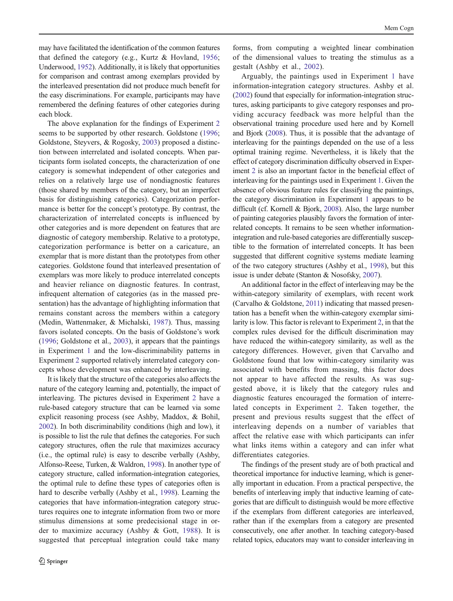may have facilitated the identification of the common features that defined the category (e.g., Kurtz & Hovland, [1956](#page-10-0); Underwood, [1952](#page-11-0)). Additionally, it is likely that opportunities for comparison and contrast among exemplars provided by the interleaved presentation did not produce much benefit for the easy discriminations. For example, participants may have remembered the defining features of other categories during each block.

The above explanation for the findings of Experiment [2](#page-4-0) seems to be supported by other research. Goldstone [\(1996](#page-10-0); Goldstone, Steyvers, & Rogosky, [2003](#page-10-0)) proposed a distinction between interrelated and isolated concepts. When participants form isolated concepts, the characterization of one category is somewhat independent of other categories and relies on a relatively large use of nondiagnostic features (those shared by members of the category, but an imperfect basis for distinguishing categories). Categorization performance is better for the concept's prototype. By contrast, the characterization of interrelated concepts is influenced by other categories and is more dependent on features that are diagnostic of category membership. Relative to a prototype, categorization performance is better on a caricature, an exemplar that is more distant than the prototypes from other categories. Goldstone found that interleaved presentation of exemplars was more likely to produce interrelated concepts and heavier reliance on diagnostic features. In contrast, infrequent alternation of categories (as in the massed presentation) has the advantage of highlighting information that remains constant across the members within a category (Medin, Wattenmaker, & Michalski, [1987](#page-10-0)). Thus, massing favors isolated concepts. On the basis of Goldstone's work [\(1996](#page-10-0); Goldstone et al., [2003](#page-10-0)), it appears that the paintings in Experiment [1](#page-1-0) and the low-discriminability patterns in Experiment [2](#page-4-0) supported relatively interrelated category concepts whose development was enhanced by interleaving.

It is likely that the structure of the categories also affects the nature of the category learning and, potentially, the impact of interleaving. The pictures devised in Experiment [2](#page-4-0) have a rule-based category structure that can be learned via some explicit reasoning process (see Ashby, Maddox, & Bohil, [2002\)](#page-10-0). In both discriminability conditions (high and low), it is possible to list the rule that defines the categories. For such category structures, often the rule that maximizes accuracy (i.e., the optimal rule) is easy to describe verbally (Ashby, Alfonso-Reese, Turken, & Waldron, [1998\)](#page-10-0). In another type of category structure, called information-integration categories, the optimal rule to define these types of categories often is hard to describe verbally (Ashby et al., [1998](#page-10-0)). Learning the categories that have information-integration category structures requires one to integrate information from two or more stimulus dimensions at some predecisional stage in order to maximize accuracy (Ashby & Gott, [1988\)](#page-10-0). It is suggested that perceptual integration could take many

forms, from computing a weighted linear combination of the dimensional values to treating the stimulus as a gestalt (Ashby et al., [2002](#page-10-0)).

Arguably, the paintings used in Experiment [1](#page-1-0) have information-integration category structures. Ashby et al. [\(2002\)](#page-10-0) found that especially for information-integration structures, asking participants to give category responses and providing accuracy feedback was more helpful than the observational training procedure used here and by Kornell and Bjork [\(2008](#page-10-0)). Thus, it is possible that the advantage of interleaving for the paintings depended on the use of a less optimal training regime. Nevertheless, it is likely that the effect of category discrimination difficulty observed in Experiment [2](#page-4-0) is also an important factor in the beneficial effect of interleaving for the paintings used in Experiment [1.](#page-1-0) Given the absence of obvious feature rules for classifying the paintings, the category discrimination in Experiment [1](#page-1-0) appears to be difficult (cf. Kornell & Bjork, [2008\)](#page-10-0). Also, the large number of painting categories plausibly favors the formation of interrelated concepts. It remains to be seen whether informationintegration and rule-based categories are differentially susceptible to the formation of interrelated concepts. It has been suggested that different cognitive systems mediate learning of the two category structures (Ashby et al., [1998](#page-10-0)), but this issue is under debate (Stanton & Nosofsky, [2007\)](#page-11-0).

An additional factor in the effect of interleaving may be the within-category similarity of exemplars, with recent work (Carvalho & Goldstone, [2011](#page-10-0)) indicating that massed presentation has a benefit when the within-category exemplar similarity is low. This factor is relevant to Experiment [2,](#page-4-0) in that the complex rules devised for the difficult discrimination may have reduced the within-category similarity, as well as the category differences. However, given that Carvalho and Goldstone found that low within-category similarity was associated with benefits from massing, this factor does not appear to have affected the results. As was suggested above, it is likely that the category rules and diagnostic features encouraged the formation of interrelated concepts in Experiment [2.](#page-4-0) Taken together, the present and previous results suggest that the effect of interleaving depends on a number of variables that affect the relative ease with which participants can infer what links items within a category and can infer what differentiates categories.

The findings of the present study are of both practical and theoretical importance for inductive learning, which is generally important in education. From a practical perspective, the benefits of interleaving imply that inductive learning of categories that are difficult to distinguish would be more effective if the exemplars from different categories are interleaved, rather than if the exemplars from a category are presented consecutively, one after another. In teaching category-based related topics, educators may want to consider interleaving in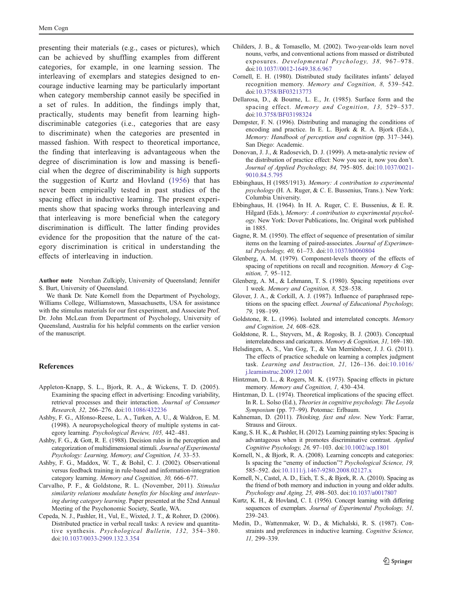<span id="page-10-0"></span>presenting their materials (e.g., cases or pictures), which can be achieved by shuffling examples from different categories, for example, in one learning session. The interleaving of exemplars and stategies designed to encourage inductive learning may be particularly important when category membership cannot easily be specified in a set of rules. In addition, the findings imply that, practically, students may benefit from learning highdiscriminable categories (i.e., categories that are easy to discriminate) when the categories are presented in massed fashion. With respect to theoretical importance, the finding that interleaving is advantageous when the degree of discrimination is low and massing is beneficial when the degree of discriminability is high supports the suggestion of Kurtz and Hovland (1956) that has never been empirically tested in past studies of the spacing effect in inductive learning. The present experiments show that spacing works through interleaving and that interleaving is more beneficial when the category discrimination is difficult. The latter finding provides evidence for the proposition that the nature of the category discrimination is critical in understanding the effects of interleaving in induction.

Author note Norehan Zulkiply, University of Queensland; Jennifer S. Burt, University of Queensland.

We thank Dr. Nate Kornell from the Department of Psychology, Williams College, Williamstown, Massachusetts, USA for assistance with the stimulus materials for our first experiment, and Associate Prof. Dr. John McLean from Department of Psychology, University of Queensland, Australia for his helpful comments on the earlier version of the manuscript.

#### References

- Appleton-Knapp, S. L., Bjork, R. A., & Wickens, T. D. (2005). Examining the spacing effect in advertising: Encoding variability, retrieval processes and their interaction. Journal of Consumer Research, 32, 266–276. doi[:10.1086/432236](http://dx.doi.org/10.1086/432236)
- Ashby, F. G., Alfonso-Reese, L. A., Turken, A. U., & Waldron, E. M. (1998). A neuropsychological theory of multiple systems in category learning. Psychological Review, 105, 442–481.
- Ashby, F. G., & Gott, R. E. (1988). Decision rules in the perception and categorization of multidimensional stimuli. Journal of Experimental Psychology: Learning, Memory, and Cognition, 14, 33–53.
- Ashby, F. G., Maddox, W. T., & Bohil, C. J. (2002). Observational versus feedback training in rule-based and information-integration category learning. Memory and Cognition, 30, 666–677.
- Carvalho, P. F., & Goldstone, R. L. (November, 2011). Stimulus similarity relations modulate benefits for blocking and interleaving during category learning. Paper presented at the 52nd Annual Meeting of the Psychonomic Society, Seatle, WA.
- Cepeda, N. J., Pashler, H., Vul, E., Wixted, J. T., & Rohrer, D. (2006). Distributed practice in verbal recall tasks: A review and quantitative synthesis. Psychological Bulletin, 132, 354–380. doi[:10.1037/0033-2909.132.3.354](http://dx.doi.org/10.1037/0033-2909.132.3.354)
- Childers, J. B., & Tomasello, M. (2002). Two-year-olds learn novel nouns, verbs, and conventional actions from massed or distributed exposures. Developmental Psychology, 38, 967–978. doi[:10.1037//0012-1649.38.6.967](http://dx.doi.org/10.1037//0012-1649.38.6.967)
- Cornell, E. H. (1980). Distributed study facilitates infants' delayed recognition memory. Memory and Cognition, 8, 539–542. doi[:10.3758/BF03213773](http://dx.doi.org/10.3758/BF03213773)
- Dellarosa, D., & Bourne, L. E., Jr. (1985). Surface form and the spacing effect. Memory and Cognition, 13, 529–537. doi[:10.3758/BF03198324](http://dx.doi.org/10.3758/BF03198324)
- Dempster, F. N. (1996). Distributing and managing the conditions of encoding and practice. In E. L. Bjork & R. A. Bjork (Eds.), Memory: Handbook of perception and cognition (pp. 317–344). San Diego: Academic.
- Donovan, J. J., & Radosevich, D. J. (1999). A meta-analytic review of the distribution of practice effect: Now you see it, now you don't. Journal of Applied Psychology, 84, 795–805. doi:[10.1037/0021-](http://dx.doi.org/10.1037/0021-9010.84.5.795) [9010.84.5.795](http://dx.doi.org/10.1037/0021-9010.84.5.795)
- Ebbinghaus, H (1985/1913). Memory: A contribution to experimental psychology (H. A. Ruger, & C. E. Bussenius, Trans.). New York: Columbia University.
- Ebbinghaus, H. (1964). In H. A. Ruger, C. E. Bussenius, & E. R. Hilgard (Eds.), Memory: A contribution to experimental psychology. New York: Dover Publications, Inc. Original work published in 1885.
- Gagne, R. M. (1950). The effect of sequence of presentation of similar items on the learning of paired-associates. Journal of Experimental Psychology, 40, 61–73. doi[:10.1037/h0060804](http://dx.doi.org/10.1037/h0060804)
- Glenberg, A. M. (1979). Component-levels theory of the effects of spacing of repetitions on recall and recognition. Memory & Cognition, 7, 95–112.
- Glenberg, A. M., & Lehmann, T. S. (1980). Spacing repetitions over 1 week. Memory and Cognition, 8, 528–538.
- Glover, J. A., & Corkill, A. J. (1987). Influence of paraphrased repetitions on the spacing effect. Journal of Educational Psychology, 79, 198–199.
- Goldstone, R. L. (1996). Isolated and interrelated concepts. Memory and Cognition, 24, 608–628.
- Goldstone, R. L., Steyvers, M., & Rogosky, B. J. (2003). Conceptual interrelatedness and caricatures. Memory & Cognition, 31, 169–180.
- Helsdingen, A. S., Van Gog, T., & Van Merriënboer, J. J. G. (2011). The effects of practice schedule on learning a complex judgment task. Learning and Instruction, 21, 126–136. doi:[10.1016/](http://dx.doi.org/10.1016/j.learninstruc.2009.12.001) [j.learninstruc.2009.12.001](http://dx.doi.org/10.1016/j.learninstruc.2009.12.001)
- Hintzman, D. L., & Rogers, M. K. (1973). Spacing effects in picture memory. Memory and Cognition, 1, 430-434.
- Hintzman, D. L. (1974). Theoretical implications of the spacing effect. In R. L. Solso (Ed.), Theories in cognitive psychology. The Loyola Symposium (pp. 77–99). Potomac: Erlbaum.
- Kahneman, D. (2011). Thinking, fast and slow. New York: Farrar, Strauss and Giroux.
- Kang, S. H. K., & Pashler, H. (2012). Learning painting styles: Spacing is advantageous when it promotes discriminative contrast. Applied Cognitive Psychology, 26, 97–103. doi[:10.1002/acp.1801](http://dx.doi.org/10.1002/acp.1801)
- Kornell, N., & Bjork, R. A. (2008). Learning concepts and categories: Is spacing the "enemy of induction"? Psychological Science, 19, 585–592. doi[:10.1111/j.1467-9280.2008.02127.x](http://dx.doi.org/10.1111/j.1467-9280.2008.02127.x)
- Kornell, N., Castel, A. D., Eich, T. S., & Bjork, R. A. (2010). Spacing as the friend of both memory and induction in young and older adults. Psychology and Aging, 25, 498–503. doi[:10.1037/a0017807](http://dx.doi.org/10.1037/a0017807)
- Kurtz, K. H., & Hovland, C. I. (1956). Concept learning with differing sequences of exemplars. Journal of Experimental Psychology, 51, 239–243.
- Medin, D., Wattenmaker, W. D., & Michalski, R. S. (1987). Constraints and preferences in inductive learning. Cognitive Science, 11, 299–339.